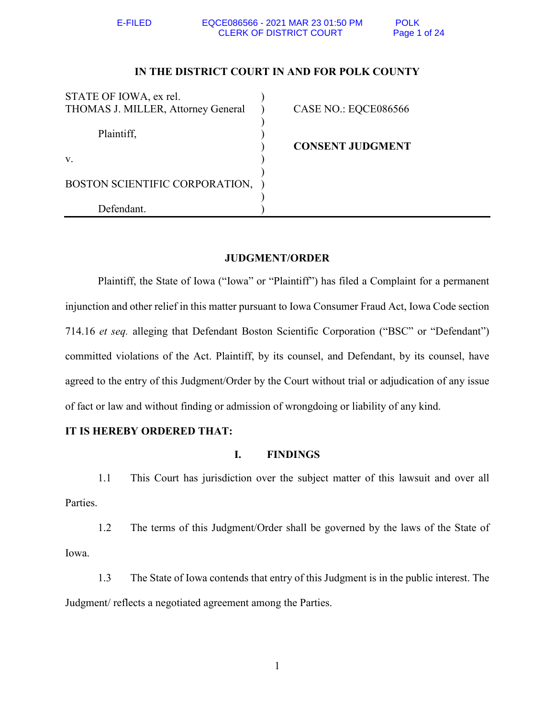# **IN THE DISTRICT COURT IN AND FOR POLK COUNTY**

| STATE OF IOWA, ex rel.             |                         |
|------------------------------------|-------------------------|
| THOMAS J. MILLER, Attorney General | CASE NO.: EQCE086566    |
|                                    |                         |
| Plaintiff,                         |                         |
|                                    | <b>CONSENT JUDGMENT</b> |
| V.                                 |                         |
|                                    |                         |
| BOSTON SCIENTIFIC CORPORATION,     |                         |
|                                    |                         |
| Defendant                          |                         |

# **JUDGMENT/ORDER**

Plaintiff, the State of Iowa ("Iowa" or "Plaintiff") has filed a Complaint for a permanent injunction and other relief in this matter pursuant to Iowa Consumer Fraud Act, Iowa Code section 714.16 *et seq.* alleging that Defendant Boston Scientific Corporation ("BSC" or "Defendant") committed violations of the Act. Plaintiff, by its counsel, and Defendant, by its counsel, have agreed to the entry of this Judgment/Order by the Court without trial or adjudication of any issue of fact or law and without finding or admission of wrongdoing or liability of any kind.

# **IT IS HEREBY ORDERED THAT:**

# **I. FINDINGS**

1.1 This Court has jurisdiction over the subject matter of this lawsuit and over all Parties.

1.2 The terms of this Judgment/Order shall be governed by the laws of the State of Iowa.

1.3 The State of Iowa contends that entry of this Judgment is in the public interest. The Judgment/ reflects a negotiated agreement among the Parties.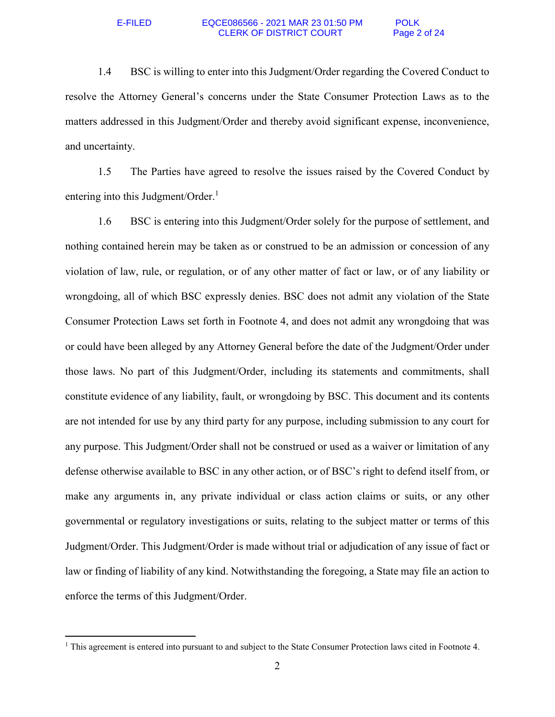### E-FILED EQCE086566 - 2021 MAR 23 01:50 PM POLK CLERK OF DISTRICT COURT Page 2 of 24

1.4 BSC is willing to enter into this Judgment/Order regarding the Covered Conduct to resolve the Attorney General's concerns under the State Consumer Protection Laws as to the matters addressed in this Judgment/Order and thereby avoid significant expense, inconvenience, and uncertainty.

1.5 The Parties have agreed to resolve the issues raised by the Covered Conduct by entering into this Judgment/Order.<sup>1</sup>

1.6 BSC is entering into this Judgment/Order solely for the purpose of settlement, and nothing contained herein may be taken as or construed to be an admission or concession of any violation of law, rule, or regulation, or of any other matter of fact or law, or of any liability or wrongdoing, all of which BSC expressly denies. BSC does not admit any violation of the State Consumer Protection Laws set forth in Footnote 4, and does not admit any wrongdoing that was or could have been alleged by any Attorney General before the date of the Judgment/Order under those laws. No part of this Judgment/Order, including its statements and commitments, shall constitute evidence of any liability, fault, or wrongdoing by BSC. This document and its contents are not intended for use by any third party for any purpose, including submission to any court for any purpose. This Judgment/Order shall not be construed or used as a waiver or limitation of any defense otherwise available to BSC in any other action, or of BSC's right to defend itself from, or make any arguments in, any private individual or class action claims or suits, or any other governmental or regulatory investigations or suits, relating to the subject matter or terms of this Judgment/Order. This Judgment/Order is made without trial or adjudication of any issue of fact or law or finding of liability of any kind. Notwithstanding the foregoing, a State may file an action to enforce the terms of this Judgment/Order.

 $\overline{a}$ 

<sup>&</sup>lt;sup>1</sup> This agreement is entered into pursuant to and subject to the State Consumer Protection laws cited in Footnote 4.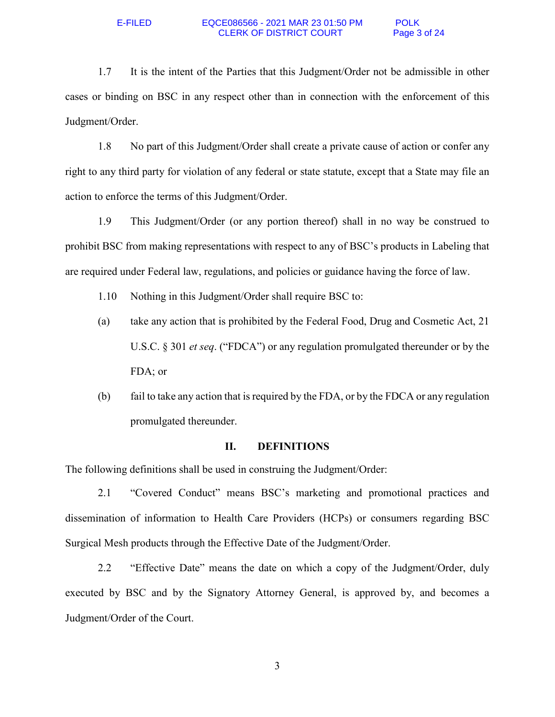1.7 It is the intent of the Parties that this Judgment/Order not be admissible in other cases or binding on BSC in any respect other than in connection with the enforcement of this Judgment/Order.

1.8 No part of this Judgment/Order shall create a private cause of action or confer any right to any third party for violation of any federal or state statute, except that a State may file an action to enforce the terms of this Judgment/Order.

1.9 This Judgment/Order (or any portion thereof) shall in no way be construed to prohibit BSC from making representations with respect to any of BSC's products in Labeling that are required under Federal law, regulations, and policies or guidance having the force of law.

- 1.10 Nothing in this Judgment/Order shall require BSC to:
- (a) take any action that is prohibited by the Federal Food, Drug and Cosmetic Act, 21 U.S.C. § 301 *et seq*. ("FDCA") or any regulation promulgated thereunder or by the FDA; or
- (b) fail to take any action that is required by the FDA, or by the FDCA or any regulation promulgated thereunder.

## **II. DEFINITIONS**

The following definitions shall be used in construing the Judgment/Order:

2.1 "Covered Conduct" means BSC's marketing and promotional practices and dissemination of information to Health Care Providers (HCPs) or consumers regarding BSC Surgical Mesh products through the Effective Date of the Judgment/Order.

2.2 "Effective Date" means the date on which a copy of the Judgment/Order, duly executed by BSC and by the Signatory Attorney General, is approved by, and becomes a Judgment/Order of the Court.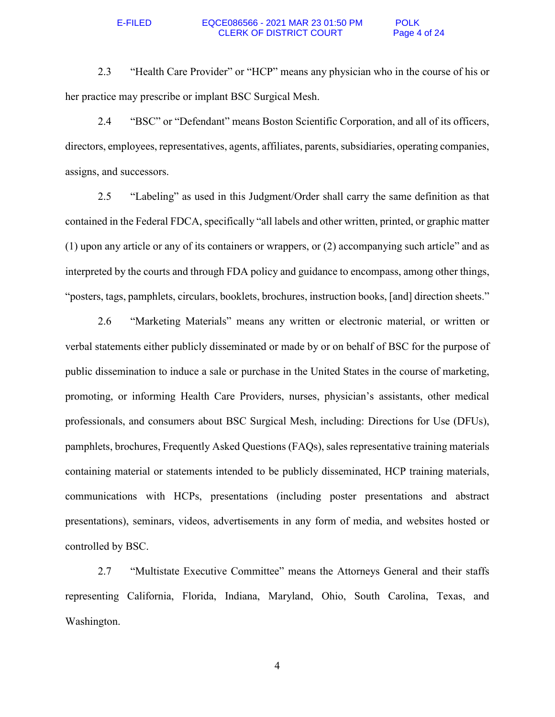2.3 "Health Care Provider" or "HCP" means any physician who in the course of his or her practice may prescribe or implant BSC Surgical Mesh.

2.4 "BSC" or "Defendant" means Boston Scientific Corporation, and all of its officers, directors, employees, representatives, agents, affiliates, parents, subsidiaries, operating companies, assigns, and successors.

2.5 "Labeling" as used in this Judgment/Order shall carry the same definition as that contained in the Federal FDCA, specifically "all labels and other written, printed, or graphic matter (1) upon any article or any of its containers or wrappers, or (2) accompanying such article" and as interpreted by the courts and through FDA policy and guidance to encompass, among other things, "posters, tags, pamphlets, circulars, booklets, brochures, instruction books, [and] direction sheets."

2.6 "Marketing Materials" means any written or electronic material, or written or verbal statements either publicly disseminated or made by or on behalf of BSC for the purpose of public dissemination to induce a sale or purchase in the United States in the course of marketing, promoting, or informing Health Care Providers, nurses, physician's assistants, other medical professionals, and consumers about BSC Surgical Mesh, including: Directions for Use (DFUs), pamphlets, brochures, Frequently Asked Questions (FAQs), sales representative training materials containing material or statements intended to be publicly disseminated, HCP training materials, communications with HCPs, presentations (including poster presentations and abstract presentations), seminars, videos, advertisements in any form of media, and websites hosted or controlled by BSC.

2.7 "Multistate Executive Committee" means the Attorneys General and their staffs representing California, Florida, Indiana, Maryland, Ohio, South Carolina, Texas, and Washington.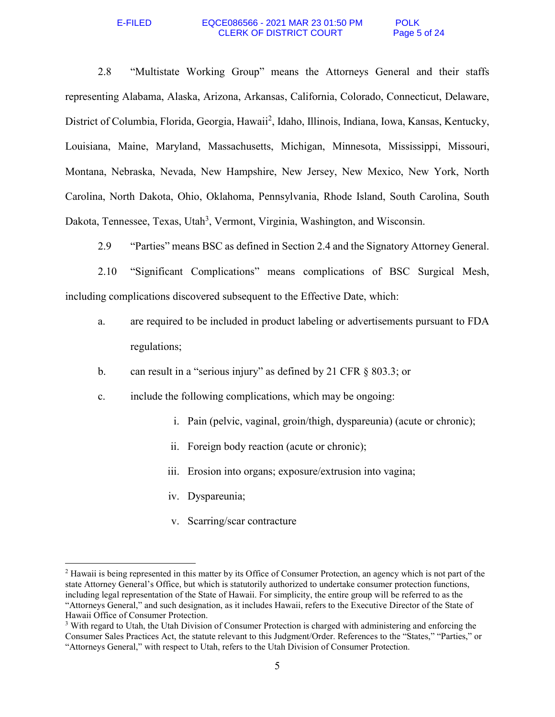### E-FILED EQCE086566 - 2021 MAR 23 01:50 PM POLK CLERK OF DISTRICT COURT Page 5 of 24

2.8 "Multistate Working Group" means the Attorneys General and their staffs representing Alabama, Alaska, Arizona, Arkansas, California, Colorado, Connecticut, Delaware, District of Columbia, Florida, Georgia, Hawaii<sup>2</sup>, Idaho, Illinois, Indiana, Iowa, Kansas, Kentucky, Louisiana, Maine, Maryland, Massachusetts, Michigan, Minnesota, Mississippi, Missouri, Montana, Nebraska, Nevada, New Hampshire, New Jersey, New Mexico, New York, North Carolina, North Dakota, Ohio, Oklahoma, Pennsylvania, Rhode Island, South Carolina, South Dakota, Tennessee, Texas, Utah<sup>3</sup>, Vermont, Virginia, Washington, and Wisconsin.

2.9 "Parties" means BSC as defined in Section 2.4 and the Signatory Attorney General.

2.10 "Significant Complications" means complications of BSC Surgical Mesh, including complications discovered subsequent to the Effective Date, which:

- a. are required to be included in product labeling or advertisements pursuant to FDA regulations;
- b. can result in a "serious injury" as defined by 21 CFR § 803.3; or
- c. include the following complications, which may be ongoing:
	- i. Pain (pelvic, vaginal, groin/thigh, dyspareunia) (acute or chronic);
	- ii. Foreign body reaction (acute or chronic);
	- iii. Erosion into organs; exposure/extrusion into vagina;
	- iv. Dyspareunia;

-

v. Scarring/scar contracture

<sup>&</sup>lt;sup>2</sup> Hawaii is being represented in this matter by its Office of Consumer Protection, an agency which is not part of the state Attorney General's Office, but which is statutorily authorized to undertake consumer protection functions, including legal representation of the State of Hawaii. For simplicity, the entire group will be referred to as the "Attorneys General," and such designation, as it includes Hawaii, refers to the Executive Director of the State of Hawaii Office of Consumer Protection.

<sup>&</sup>lt;sup>3</sup> With regard to Utah, the Utah Division of Consumer Protection is charged with administering and enforcing the Consumer Sales Practices Act, the statute relevant to this Judgment/Order. References to the "States," "Parties," or "Attorneys General," with respect to Utah, refers to the Utah Division of Consumer Protection.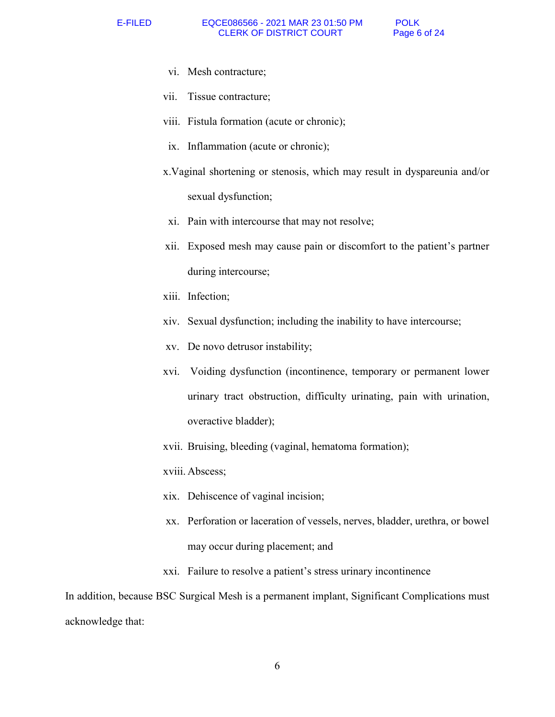- vi. Mesh contracture;
- vii. Tissue contracture;
- viii. Fistula formation (acute or chronic);
- ix. Inflammation (acute or chronic);
- x.Vaginal shortening or stenosis, which may result in dyspareunia and/or sexual dysfunction;
- xi. Pain with intercourse that may not resolve;
- xii. Exposed mesh may cause pain or discomfort to the patient's partner during intercourse;
- xiii. Infection;
- xiv. Sexual dysfunction; including the inability to have intercourse;
- xv. De novo detrusor instability;
- xvi. Voiding dysfunction (incontinence, temporary or permanent lower urinary tract obstruction, difficulty urinating, pain with urination, overactive bladder);
- xvii. Bruising, bleeding (vaginal, hematoma formation);

xviii. Abscess;

- xix. Dehiscence of vaginal incision;
- xx. Perforation or laceration of vessels, nerves, bladder, urethra, or bowel may occur during placement; and
- xxi. Failure to resolve a patient's stress urinary incontinence

In addition, because BSC Surgical Mesh is a permanent implant, Significant Complications must acknowledge that: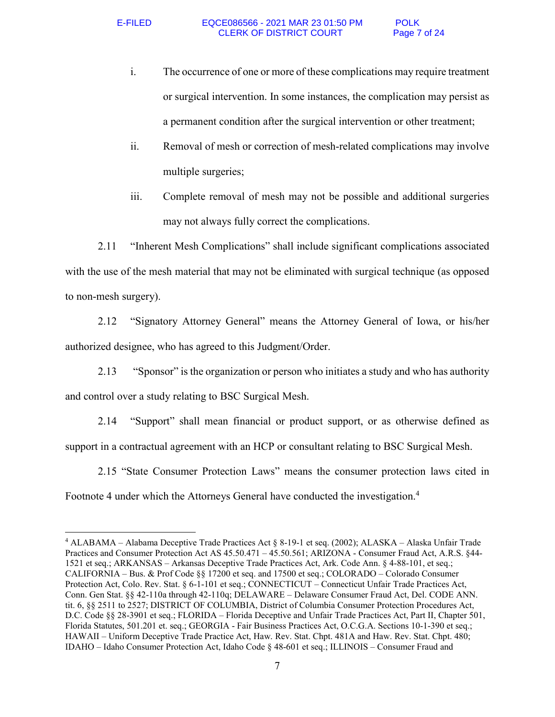$\overline{a}$ 

- i. The occurrence of one or more of these complications may require treatment or surgical intervention. In some instances, the complication may persist as a permanent condition after the surgical intervention or other treatment;
- ii. Removal of mesh or correction of mesh-related complications may involve multiple surgeries;
- iii. Complete removal of mesh may not be possible and additional surgeries may not always fully correct the complications.

2.11 "Inherent Mesh Complications" shall include significant complications associated with the use of the mesh material that may not be eliminated with surgical technique (as opposed to non-mesh surgery).

2.12 "Signatory Attorney General" means the Attorney General of Iowa, or his/her authorized designee, who has agreed to this Judgment/Order.

2.13 "Sponsor" is the organization or person who initiates a study and who has authority and control over a study relating to BSC Surgical Mesh.

2.14 "Support" shall mean financial or product support, or as otherwise defined as support in a contractual agreement with an HCP or consultant relating to BSC Surgical Mesh.

2.15 "State Consumer Protection Laws" means the consumer protection laws cited in Footnote 4 under which the Attorneys General have conducted the investigation.<sup>4</sup>

<sup>4</sup> ALABAMA – Alabama Deceptive Trade Practices Act § 8-19-1 et seq. (2002); ALASKA – Alaska Unfair Trade Practices and Consumer Protection Act AS 45.50.471 – 45.50.561; ARIZONA - Consumer Fraud Act, A.R.S. §44- 1521 et seq.; ARKANSAS – Arkansas Deceptive Trade Practices Act, Ark. Code Ann. § 4-88-101, et seq.; CALIFORNIA – Bus. & Prof Code §§ 17200 et seq. and 17500 et seq.; COLORADO – Colorado Consumer Protection Act, Colo. Rev. Stat. § 6-1-101 et seq.; CONNECTICUT – Connecticut Unfair Trade Practices Act, Conn. Gen Stat. §§ 42-110a through 42-110q; DELAWARE – Delaware Consumer Fraud Act, Del. CODE ANN. tit. 6, §§ 2511 to 2527; DISTRICT OF COLUMBIA, District of Columbia Consumer Protection Procedures Act, D.C. Code §§ 28-3901 et seq.; FLORIDA – Florida Deceptive and Unfair Trade Practices Act, Part II, Chapter 501, Florida Statutes, 501.201 et. seq.; GEORGIA - Fair Business Practices Act, O.C.G.A. Sections 10-1-390 et seq.; HAWAII – Uniform Deceptive Trade Practice Act, Haw. Rev. Stat. Chpt. 481A and Haw. Rev. Stat. Chpt. 480; IDAHO – Idaho Consumer Protection Act, Idaho Code § 48-601 et seq.; ILLINOIS – Consumer Fraud and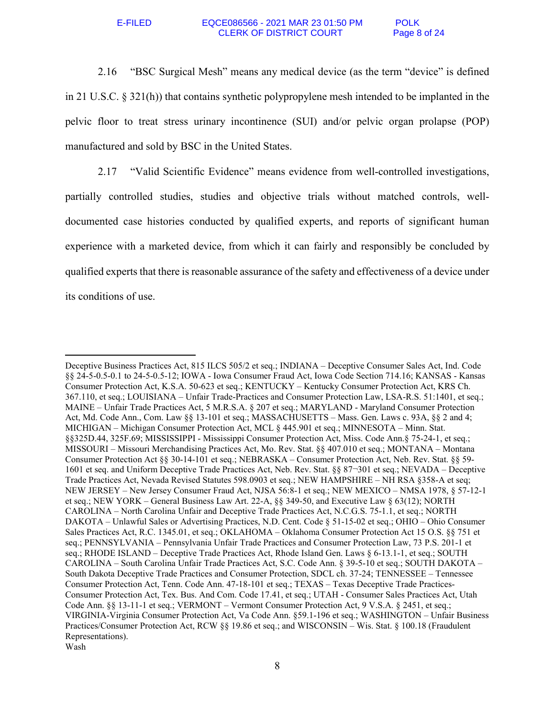### E-FILED EQCE086566 - 2021 MAR 23 01:50 PM POLK CLERK OF DISTRICT COURT Page 8 of 24

2.16 "BSC Surgical Mesh" means any medical device (as the term "device" is defined in 21 U.S.C. § 321(h)) that contains synthetic polypropylene mesh intended to be implanted in the pelvic floor to treat stress urinary incontinence (SUI) and/or pelvic organ prolapse (POP) manufactured and sold by BSC in the United States.

2.17 "Valid Scientific Evidence" means evidence from well-controlled investigations, partially controlled studies, studies and objective trials without matched controls, welldocumented case histories conducted by qualified experts, and reports of significant human experience with a marketed device, from which it can fairly and responsibly be concluded by qualified experts that there is reasonable assurance of the safety and effectiveness of a device under its conditions of use.

 $\overline{a}$ Deceptive Business Practices Act, 815 ILCS 505/2 et seq.; INDIANA – Deceptive Consumer Sales Act, Ind. Code §§ 24-5-0.5-0.1 to 24-5-0.5-12; IOWA - Iowa Consumer Fraud Act, Iowa Code Section 714.16; KANSAS - Kansas Consumer Protection Act, K.S.A. 50-623 et seq.; KENTUCKY – Kentucky Consumer Protection Act, KRS Ch. 367.110, et seq.; LOUISIANA – Unfair Trade-Practices and Consumer Protection Law, LSA-R.S. 51:1401, et seq.; MAINE – Unfair Trade Practices Act, 5 M.R.S.A. § 207 et seq.; MARYLAND - Maryland Consumer Protection Act, Md. Code Ann., Com. Law §§ 13-101 et seq.; MASSACHUSETTS – Mass. Gen. Laws c. 93A, §§ 2 and 4; MICHIGAN – Michigan Consumer Protection Act, MCL § 445.901 et seq.; MINNESOTA – Minn. Stat. §§325D.44, 325F.69; MISSISSIPPI - Mississippi Consumer Protection Act, Miss. Code Ann.§ 75-24-1, et seq.; MISSOURI – Missouri Merchandising Practices Act, Mo. Rev. Stat. §§ 407.010 et seq.; MONTANA – Montana Consumer Protection Act §§ 30-14-101 et seq.; NEBRASKA – Consumer Protection Act, Neb. Rev. Stat. §§ 59- 1601 et seq. and Uniform Deceptive Trade Practices Act, Neb. Rev. Stat. §§ 87¬301 et seq.; NEVADA – Deceptive Trade Practices Act, Nevada Revised Statutes 598.0903 et seq.; NEW HAMPSHIRE – NH RSA §358-A et seq; NEW JERSEY – New Jersey Consumer Fraud Act, NJSA 56:8-1 et seq.; NEW MEXICO – NMSA 1978, § 57-12-1 et seq.; NEW YORK – General Business Law Art. 22-A, §§ 349-50, and Executive Law § 63(12); NORTH CAROLINA – North Carolina Unfair and Deceptive Trade Practices Act, N.C.G.S. 75-1.1, et seq.; NORTH DAKOTA – Unlawful Sales or Advertising Practices, N.D. Cent. Code § 51-15-02 et seq.; OHIO – Ohio Consumer Sales Practices Act, R.C. 1345.01, et seq.; OKLAHOMA – Oklahoma Consumer Protection Act 15 O.S. §§ 751 et seq.; PENNSYLVANIA – Pennsylvania Unfair Trade Practices and Consumer Protection Law, 73 P.S. 201-1 et seq.; RHODE ISLAND – Deceptive Trade Practices Act, Rhode Island Gen. Laws § 6-13.1-1, et seq.; SOUTH CAROLINA – South Carolina Unfair Trade Practices Act, S.C. Code Ann. § 39-5-10 et seq.; SOUTH DAKOTA – South Dakota Deceptive Trade Practices and Consumer Protection, SDCL ch. 37-24; TENNESSEE – Tennessee Consumer Protection Act, Tenn. Code Ann. 47-18-101 et seq.; TEXAS – Texas Deceptive Trade Practices-Consumer Protection Act, Tex. Bus. And Com. Code 17.41, et seq.; UTAH - Consumer Sales Practices Act, Utah Code Ann. §§ 13-11-1 et seq.; VERMONT – Vermont Consumer Protection Act, 9 V.S.A. § 2451, et seq.; VIRGINIA-Virginia Consumer Protection Act, Va Code Ann. §59.1-196 et seq.; WASHINGTON – Unfair Business Practices/Consumer Protection Act, RCW §§ 19.86 et seq.; and WISCONSIN – Wis. Stat. § 100.18 (Fraudulent Representations). Wash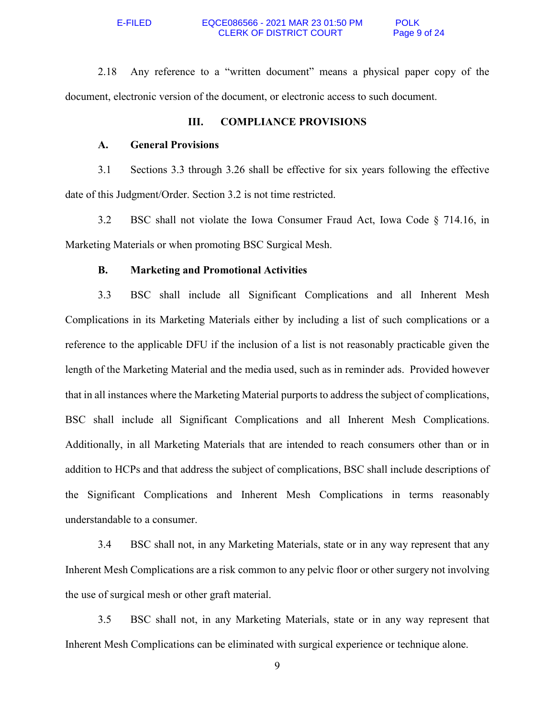2.18 Any reference to a "written document" means a physical paper copy of the document, electronic version of the document, or electronic access to such document.

# **III. COMPLIANCE PROVISIONS**

# **A. General Provisions**

3.1 Sections 3.3 through 3.26 shall be effective for six years following the effective date of this Judgment/Order. Section 3.2 is not time restricted.

3.2 BSC shall not violate the Iowa Consumer Fraud Act, Iowa Code § 714.16, in Marketing Materials or when promoting BSC Surgical Mesh.

## **B. Marketing and Promotional Activities**

3.3 BSC shall include all Significant Complications and all Inherent Mesh Complications in its Marketing Materials either by including a list of such complications or a reference to the applicable DFU if the inclusion of a list is not reasonably practicable given the length of the Marketing Material and the media used, such as in reminder ads. Provided however that in all instances where the Marketing Material purports to address the subject of complications, BSC shall include all Significant Complications and all Inherent Mesh Complications. Additionally, in all Marketing Materials that are intended to reach consumers other than or in addition to HCPs and that address the subject of complications, BSC shall include descriptions of the Significant Complications and Inherent Mesh Complications in terms reasonably understandable to a consumer.

3.4 BSC shall not, in any Marketing Materials, state or in any way represent that any Inherent Mesh Complications are a risk common to any pelvic floor or other surgery not involving the use of surgical mesh or other graft material.

3.5 BSC shall not, in any Marketing Materials, state or in any way represent that Inherent Mesh Complications can be eliminated with surgical experience or technique alone.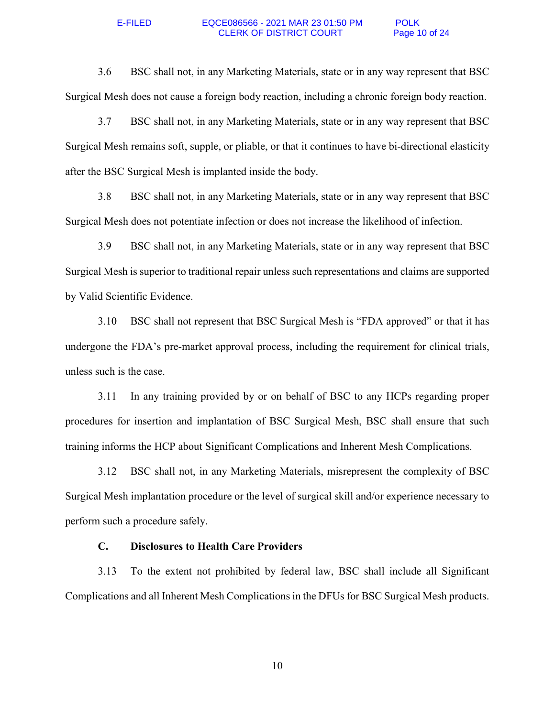### E-FILED EQCE086566 - 2021 MAR 23 01:50 PM POLK<br>CLERK OF DISTRICT COURT Page 10 of 24 **CLERK OF DISTRICT COURT**

3.6 BSC shall not, in any Marketing Materials, state or in any way represent that BSC Surgical Mesh does not cause a foreign body reaction, including a chronic foreign body reaction.

3.7 BSC shall not, in any Marketing Materials, state or in any way represent that BSC Surgical Mesh remains soft, supple, or pliable, or that it continues to have bi-directional elasticity after the BSC Surgical Mesh is implanted inside the body.

3.8 BSC shall not, in any Marketing Materials, state or in any way represent that BSC Surgical Mesh does not potentiate infection or does not increase the likelihood of infection.

3.9 BSC shall not, in any Marketing Materials, state or in any way represent that BSC Surgical Mesh is superior to traditional repair unless such representations and claims are supported by Valid Scientific Evidence.

3.10 BSC shall not represent that BSC Surgical Mesh is "FDA approved" or that it has undergone the FDA's pre-market approval process, including the requirement for clinical trials, unless such is the case.

3.11 In any training provided by or on behalf of BSC to any HCPs regarding proper procedures for insertion and implantation of BSC Surgical Mesh, BSC shall ensure that such training informs the HCP about Significant Complications and Inherent Mesh Complications.

3.12 BSC shall not, in any Marketing Materials, misrepresent the complexity of BSC Surgical Mesh implantation procedure or the level of surgical skill and/or experience necessary to perform such a procedure safely.

## **C. Disclosures to Health Care Providers**

3.13 To the extent not prohibited by federal law, BSC shall include all Significant Complications and all Inherent Mesh Complications in the DFUs for BSC Surgical Mesh products.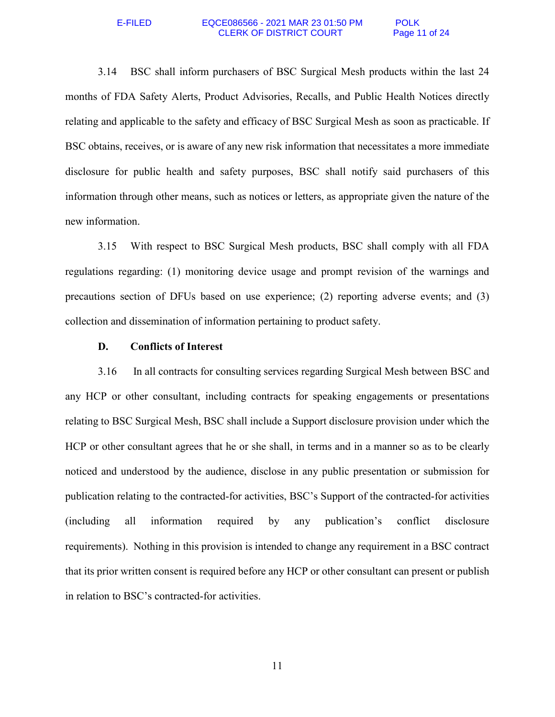### E-FILED EQCE086566 - 2021 MAR 23 01:50 PM POLK<br>CLERK OF DISTRICT COURT Page 11 of 24 **CLERK OF DISTRICT COURT**

3.14 BSC shall inform purchasers of BSC Surgical Mesh products within the last 24 months of FDA Safety Alerts, Product Advisories, Recalls, and Public Health Notices directly relating and applicable to the safety and efficacy of BSC Surgical Mesh as soon as practicable. If BSC obtains, receives, or is aware of any new risk information that necessitates a more immediate disclosure for public health and safety purposes, BSC shall notify said purchasers of this information through other means, such as notices or letters, as appropriate given the nature of the new information.

3.15 With respect to BSC Surgical Mesh products, BSC shall comply with all FDA regulations regarding: (1) monitoring device usage and prompt revision of the warnings and precautions section of DFUs based on use experience; (2) reporting adverse events; and (3) collection and dissemination of information pertaining to product safety.

## **D. Conflicts of Interest**

3.16 In all contracts for consulting services regarding Surgical Mesh between BSC and any HCP or other consultant, including contracts for speaking engagements or presentations relating to BSC Surgical Mesh, BSC shall include a Support disclosure provision under which the HCP or other consultant agrees that he or she shall, in terms and in a manner so as to be clearly noticed and understood by the audience, disclose in any public presentation or submission for publication relating to the contracted-for activities, BSC's Support of the contracted-for activities (including all information required by any publication's conflict disclosure requirements). Nothing in this provision is intended to change any requirement in a BSC contract that its prior written consent is required before any HCP or other consultant can present or publish in relation to BSC's contracted-for activities.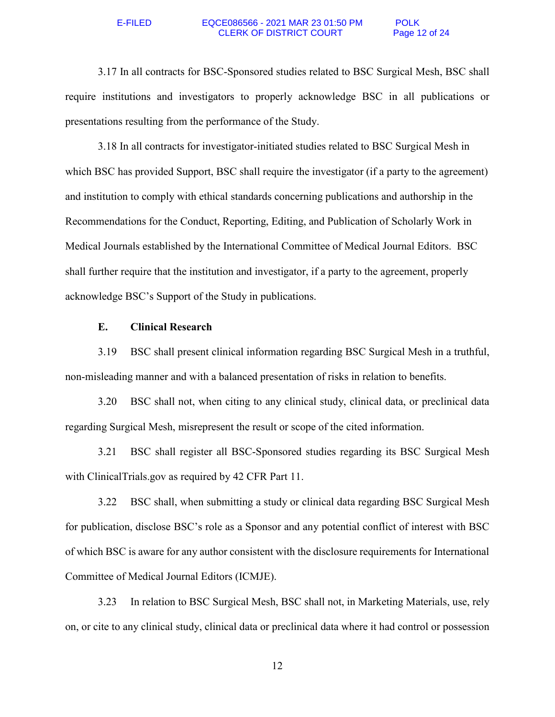## E-FILED EQCE086566 - 2021 MAR 23 01:50 PM POLK CLERK OF DISTRICT COURT Page 12 of 24

3.17 In all contracts for BSC-Sponsored studies related to BSC Surgical Mesh, BSC shall require institutions and investigators to properly acknowledge BSC in all publications or presentations resulting from the performance of the Study.

3.18 In all contracts for investigator-initiated studies related to BSC Surgical Mesh in which BSC has provided Support, BSC shall require the investigator (if a party to the agreement) and institution to comply with ethical standards concerning publications and authorship in the Recommendations for the Conduct, Reporting, Editing, and Publication of Scholarly Work in Medical Journals established by the International Committee of Medical Journal Editors. BSC shall further require that the institution and investigator, if a party to the agreement, properly acknowledge BSC's Support of the Study in publications.

## **E. Clinical Research**

3.19 BSC shall present clinical information regarding BSC Surgical Mesh in a truthful, non-misleading manner and with a balanced presentation of risks in relation to benefits.

3.20 BSC shall not, when citing to any clinical study, clinical data, or preclinical data regarding Surgical Mesh, misrepresent the result or scope of the cited information.

3.21 BSC shall register all BSC-Sponsored studies regarding its BSC Surgical Mesh with ClinicalTrials.gov as required by 42 CFR Part 11.

3.22 BSC shall, when submitting a study or clinical data regarding BSC Surgical Mesh for publication, disclose BSC's role as a Sponsor and any potential conflict of interest with BSC of which BSC is aware for any author consistent with the disclosure requirements for International Committee of Medical Journal Editors (ICMJE).

3.23 In relation to BSC Surgical Mesh, BSC shall not, in Marketing Materials, use, rely on, or cite to any clinical study, clinical data or preclinical data where it had control or possession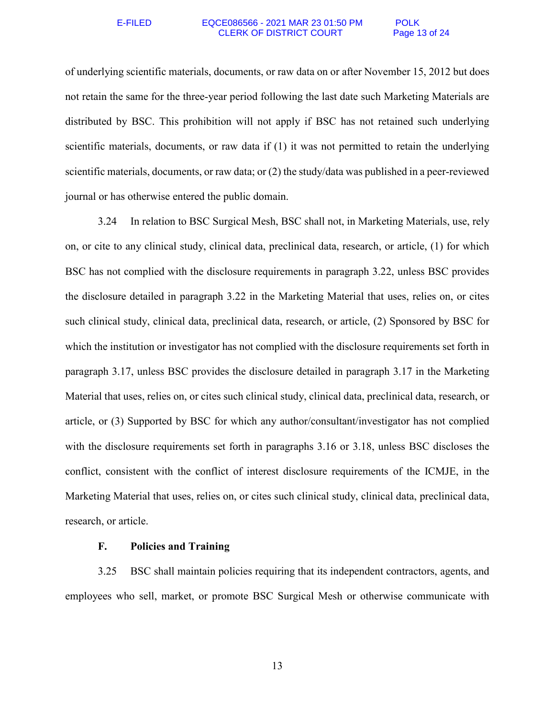## E-FILED EQCE086566 - 2021 MAR 23 01:50 PM POLK CLERK OF DISTRICT COURT Page 13 of 24

of underlying scientific materials, documents, or raw data on or after November 15, 2012 but does not retain the same for the three-year period following the last date such Marketing Materials are distributed by BSC. This prohibition will not apply if BSC has not retained such underlying scientific materials, documents, or raw data if (1) it was not permitted to retain the underlying scientific materials, documents, or raw data; or (2) the study/data was published in a peer-reviewed journal or has otherwise entered the public domain.

3.24 In relation to BSC Surgical Mesh, BSC shall not, in Marketing Materials, use, rely on, or cite to any clinical study, clinical data, preclinical data, research, or article, (1) for which BSC has not complied with the disclosure requirements in paragraph 3.22, unless BSC provides the disclosure detailed in paragraph 3.22 in the Marketing Material that uses, relies on, or cites such clinical study, clinical data, preclinical data, research, or article, (2) Sponsored by BSC for which the institution or investigator has not complied with the disclosure requirements set forth in paragraph 3.17, unless BSC provides the disclosure detailed in paragraph 3.17 in the Marketing Material that uses, relies on, or cites such clinical study, clinical data, preclinical data, research, or article, or (3) Supported by BSC for which any author/consultant/investigator has not complied with the disclosure requirements set forth in paragraphs 3.16 or 3.18, unless BSC discloses the conflict, consistent with the conflict of interest disclosure requirements of the ICMJE, in the Marketing Material that uses, relies on, or cites such clinical study, clinical data, preclinical data, research, or article.

# **F. Policies and Training**

3.25 BSC shall maintain policies requiring that its independent contractors, agents, and employees who sell, market, or promote BSC Surgical Mesh or otherwise communicate with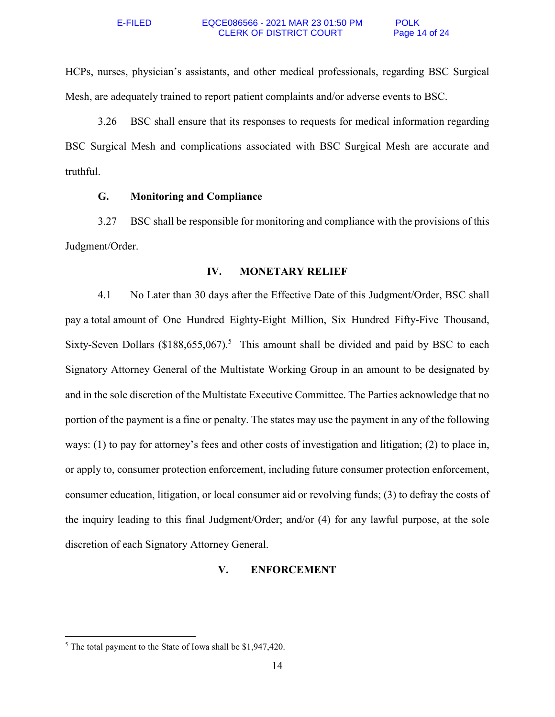HCPs, nurses, physician's assistants, and other medical professionals, regarding BSC Surgical Mesh, are adequately trained to report patient complaints and/or adverse events to BSC.

3.26 BSC shall ensure that its responses to requests for medical information regarding BSC Surgical Mesh and complications associated with BSC Surgical Mesh are accurate and truthful.

# **G. Monitoring and Compliance**

3.27 BSC shall be responsible for monitoring and compliance with the provisions of this Judgment/Order.

# **IV. MONETARY RELIEF**

4.1 No Later than 30 days after the Effective Date of this Judgment/Order, BSC shall pay a total amount of One Hundred Eighty-Eight Million, Six Hundred Fifty-Five Thousand, Sixty-Seven Dollars  $(\$188,655,067).$ <sup>5</sup> This amount shall be divided and paid by BSC to each Signatory Attorney General of the Multistate Working Group in an amount to be designated by and in the sole discretion of the Multistate Executive Committee. The Parties acknowledge that no portion of the payment is a fine or penalty. The states may use the payment in any of the following ways: (1) to pay for attorney's fees and other costs of investigation and litigation; (2) to place in, or apply to, consumer protection enforcement, including future consumer protection enforcement, consumer education, litigation, or local consumer aid or revolving funds; (3) to defray the costs of the inquiry leading to this final Judgment/Order; and/or (4) for any lawful purpose, at the sole discretion of each Signatory Attorney General.

# **V. ENFORCEMENT**

 $\overline{a}$ 

<sup>&</sup>lt;sup>5</sup> The total payment to the State of Iowa shall be \$1,947,420.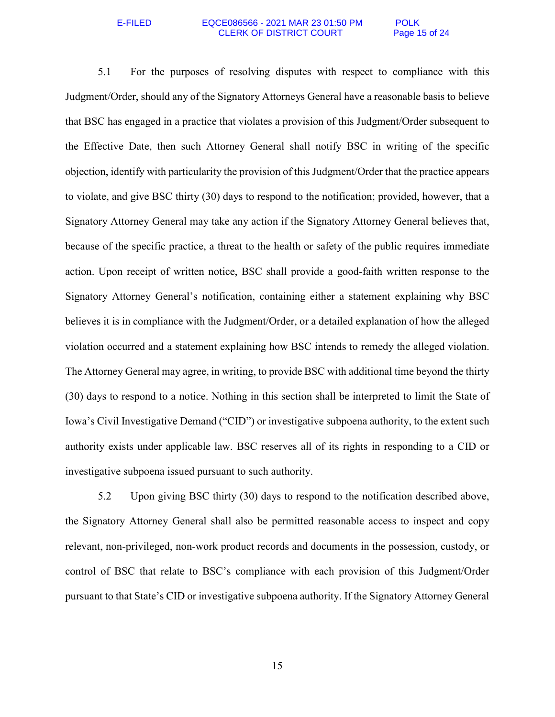## E-FILED EQCE086566 - 2021 MAR 23 01:50 PM POLK CLERK OF DISTRICT COURT Page 15 of 24

5.1 For the purposes of resolving disputes with respect to compliance with this Judgment/Order, should any of the Signatory Attorneys General have a reasonable basis to believe that BSC has engaged in a practice that violates a provision of this Judgment/Order subsequent to the Effective Date, then such Attorney General shall notify BSC in writing of the specific objection, identify with particularity the provision of this Judgment/Order that the practice appears to violate, and give BSC thirty (30) days to respond to the notification; provided, however, that a Signatory Attorney General may take any action if the Signatory Attorney General believes that, because of the specific practice, a threat to the health or safety of the public requires immediate action. Upon receipt of written notice, BSC shall provide a good-faith written response to the Signatory Attorney General's notification, containing either a statement explaining why BSC believes it is in compliance with the Judgment/Order, or a detailed explanation of how the alleged violation occurred and a statement explaining how BSC intends to remedy the alleged violation. The Attorney General may agree, in writing, to provide BSC with additional time beyond the thirty (30) days to respond to a notice. Nothing in this section shall be interpreted to limit the State of Iowa's Civil Investigative Demand ("CID") or investigative subpoena authority, to the extent such authority exists under applicable law. BSC reserves all of its rights in responding to a CID or investigative subpoena issued pursuant to such authority.

5.2 Upon giving BSC thirty (30) days to respond to the notification described above, the Signatory Attorney General shall also be permitted reasonable access to inspect and copy relevant, non-privileged, non-work product records and documents in the possession, custody, or control of BSC that relate to BSC's compliance with each provision of this Judgment/Order pursuant to that State's CID or investigative subpoena authority. If the Signatory Attorney General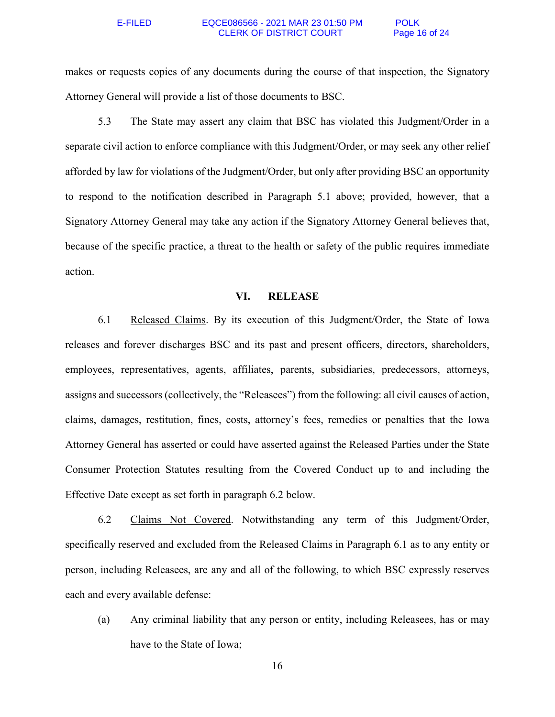## E-FILED EQCE086566 - 2021 MAR 23 01:50 PM POLK CLERK OF DISTRICT COURT Page 16 of 24

makes or requests copies of any documents during the course of that inspection, the Signatory Attorney General will provide a list of those documents to BSC.

5.3 The State may assert any claim that BSC has violated this Judgment/Order in a separate civil action to enforce compliance with this Judgment/Order, or may seek any other relief afforded by law for violations of the Judgment/Order, but only after providing BSC an opportunity to respond to the notification described in Paragraph 5.1 above; provided, however, that a Signatory Attorney General may take any action if the Signatory Attorney General believes that, because of the specific practice, a threat to the health or safety of the public requires immediate action.

## **VI. RELEASE**

6.1 Released Claims. By its execution of this Judgment/Order, the State of Iowa releases and forever discharges BSC and its past and present officers, directors, shareholders, employees, representatives, agents, affiliates, parents, subsidiaries, predecessors, attorneys, assigns and successors (collectively, the "Releasees") from the following: all civil causes of action, claims, damages, restitution, fines, costs, attorney's fees, remedies or penalties that the Iowa Attorney General has asserted or could have asserted against the Released Parties under the State Consumer Protection Statutes resulting from the Covered Conduct up to and including the Effective Date except as set forth in paragraph 6.2 below.

6.2 Claims Not Covered. Notwithstanding any term of this Judgment/Order, specifically reserved and excluded from the Released Claims in Paragraph 6.1 as to any entity or person, including Releasees, are any and all of the following, to which BSC expressly reserves each and every available defense:

(a) Any criminal liability that any person or entity, including Releasees, has or may have to the State of Iowa;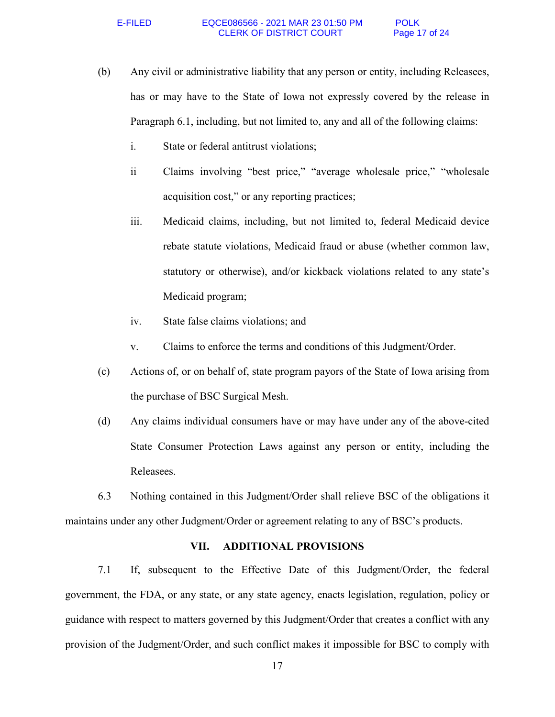- (b) Any civil or administrative liability that any person or entity, including Releasees, has or may have to the State of Iowa not expressly covered by the release in Paragraph 6.1, including, but not limited to, any and all of the following claims:
	- i. State or federal antitrust violations;
	- ii Claims involving "best price," "average wholesale price," "wholesale acquisition cost," or any reporting practices;
	- iii. Medicaid claims, including, but not limited to, federal Medicaid device rebate statute violations, Medicaid fraud or abuse (whether common law, statutory or otherwise), and/or kickback violations related to any state's Medicaid program;
	- iv. State false claims violations; and
	- v. Claims to enforce the terms and conditions of this Judgment/Order.
- (c) Actions of, or on behalf of, state program payors of the State of Iowa arising from the purchase of BSC Surgical Mesh.
- (d) Any claims individual consumers have or may have under any of the above-cited State Consumer Protection Laws against any person or entity, including the Releasees.

6.3 Nothing contained in this Judgment/Order shall relieve BSC of the obligations it maintains under any other Judgment/Order or agreement relating to any of BSC's products.

## **VII. ADDITIONAL PROVISIONS**

7.1 If, subsequent to the Effective Date of this Judgment/Order, the federal government, the FDA, or any state, or any state agency, enacts legislation, regulation, policy or guidance with respect to matters governed by this Judgment/Order that creates a conflict with any provision of the Judgment/Order, and such conflict makes it impossible for BSC to comply with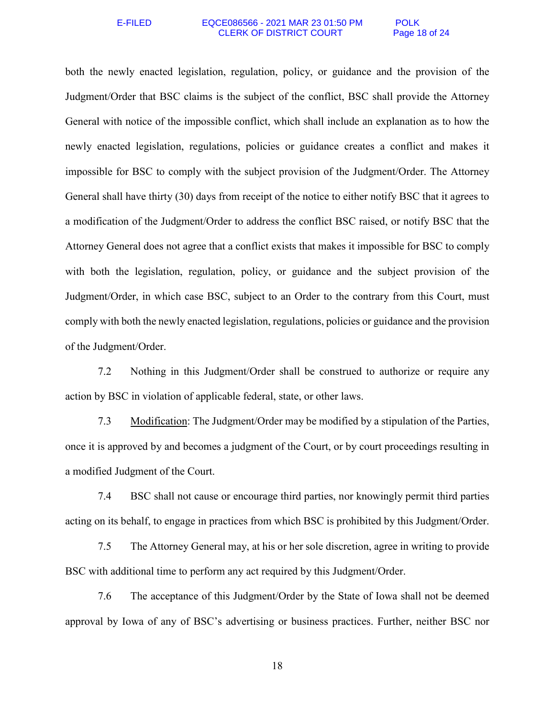## E-FILED EQCE086566 - 2021 MAR 23 01:50 PM POLK CLERK OF DISTRICT COURT Page 18 of 24

both the newly enacted legislation, regulation, policy, or guidance and the provision of the Judgment/Order that BSC claims is the subject of the conflict, BSC shall provide the Attorney General with notice of the impossible conflict, which shall include an explanation as to how the newly enacted legislation, regulations, policies or guidance creates a conflict and makes it impossible for BSC to comply with the subject provision of the Judgment/Order. The Attorney General shall have thirty (30) days from receipt of the notice to either notify BSC that it agrees to a modification of the Judgment/Order to address the conflict BSC raised, or notify BSC that the Attorney General does not agree that a conflict exists that makes it impossible for BSC to comply with both the legislation, regulation, policy, or guidance and the subject provision of the Judgment/Order, in which case BSC, subject to an Order to the contrary from this Court, must comply with both the newly enacted legislation, regulations, policies or guidance and the provision of the Judgment/Order.

7.2 Nothing in this Judgment/Order shall be construed to authorize or require any action by BSC in violation of applicable federal, state, or other laws.

7.3 Modification: The Judgment/Order may be modified by a stipulation of the Parties, once it is approved by and becomes a judgment of the Court, or by court proceedings resulting in a modified Judgment of the Court.

7.4 BSC shall not cause or encourage third parties, nor knowingly permit third parties acting on its behalf, to engage in practices from which BSC is prohibited by this Judgment/Order.

7.5 The Attorney General may, at his or her sole discretion, agree in writing to provide BSC with additional time to perform any act required by this Judgment/Order.

7.6 The acceptance of this Judgment/Order by the State of Iowa shall not be deemed approval by Iowa of any of BSC's advertising or business practices. Further, neither BSC nor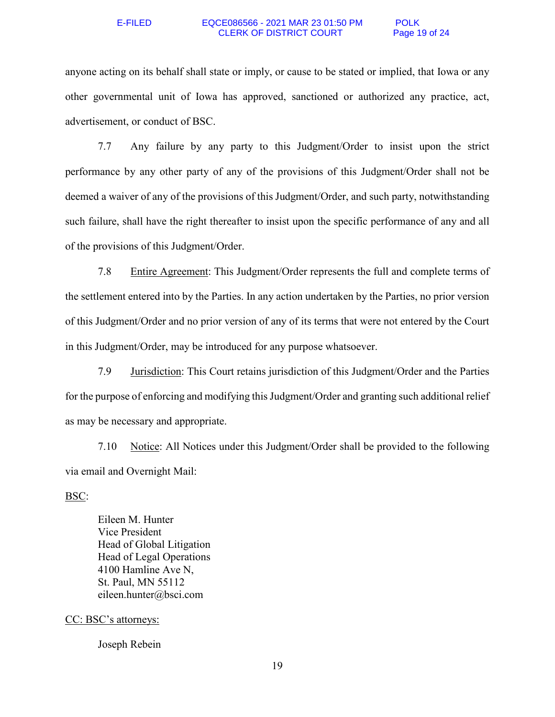### E-FILED EQCE086566 - 2021 MAR 23 01:50 PM POLK<br>CLERK OF DISTRICT COURT Page 19 of 24 **CLERK OF DISTRICT COURT**

anyone acting on its behalf shall state or imply, or cause to be stated or implied, that Iowa or any other governmental unit of Iowa has approved, sanctioned or authorized any practice, act, advertisement, or conduct of BSC.

7.7 Any failure by any party to this Judgment/Order to insist upon the strict performance by any other party of any of the provisions of this Judgment/Order shall not be deemed a waiver of any of the provisions of this Judgment/Order, and such party, notwithstanding such failure, shall have the right thereafter to insist upon the specific performance of any and all of the provisions of this Judgment/Order.

7.8 Entire Agreement: This Judgment/Order represents the full and complete terms of the settlement entered into by the Parties. In any action undertaken by the Parties, no prior version of this Judgment/Order and no prior version of any of its terms that were not entered by the Court in this Judgment/Order, may be introduced for any purpose whatsoever.

7.9 Jurisdiction: This Court retains jurisdiction of this Judgment/Order and the Parties for the purpose of enforcing and modifying this Judgment/Order and granting such additional relief as may be necessary and appropriate.

7.10 Notice: All Notices under this Judgment/Order shall be provided to the following via email and Overnight Mail:

## BSC:

Eileen M. Hunter Vice President Head of Global Litigation Head of Legal Operations 4100 Hamline Ave N, St. Paul, MN 55112 eileen.hunter@bsci.com

## CC: BSC's attorneys:

Joseph Rebein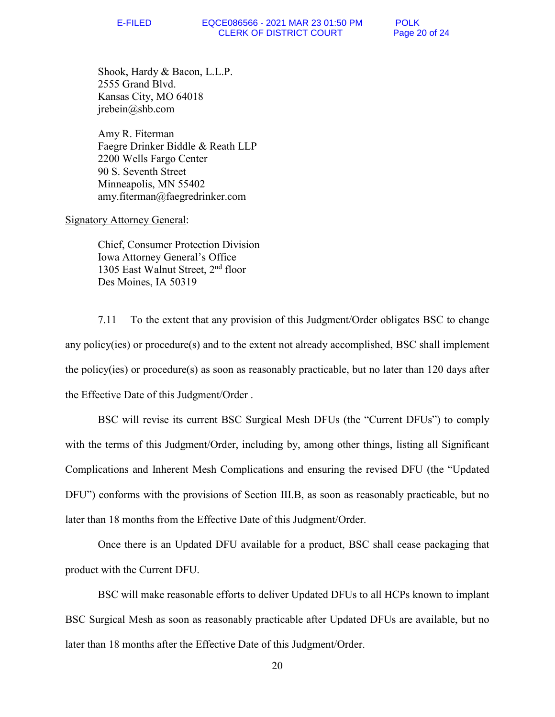Shook, Hardy & Bacon, L.L.P. 2555 Grand Blvd. Kansas City, MO 64018 jrebein@shb.com

Amy R. Fiterman Faegre Drinker Biddle & Reath LLP 2200 Wells Fargo Center 90 S. Seventh Street Minneapolis, MN 55402 amy.fiterman@faegredrinker.com

## Signatory Attorney General:

Chief, Consumer Protection Division Iowa Attorney General's Office 1305 East Walnut Street, 2<sup>nd</sup> floor Des Moines, IA 50319

7.11 To the extent that any provision of this Judgment/Order obligates BSC to change any policy(ies) or procedure(s) and to the extent not already accomplished, BSC shall implement the policy(ies) or procedure(s) as soon as reasonably practicable, but no later than 120 days after the Effective Date of this Judgment/Order .

BSC will revise its current BSC Surgical Mesh DFUs (the "Current DFUs") to comply with the terms of this Judgment/Order, including by, among other things, listing all Significant Complications and Inherent Mesh Complications and ensuring the revised DFU (the "Updated DFU") conforms with the provisions of Section III.B, as soon as reasonably practicable, but no later than 18 months from the Effective Date of this Judgment/Order.

Once there is an Updated DFU available for a product, BSC shall cease packaging that product with the Current DFU.

BSC will make reasonable efforts to deliver Updated DFUs to all HCPs known to implant BSC Surgical Mesh as soon as reasonably practicable after Updated DFUs are available, but no later than 18 months after the Effective Date of this Judgment/Order.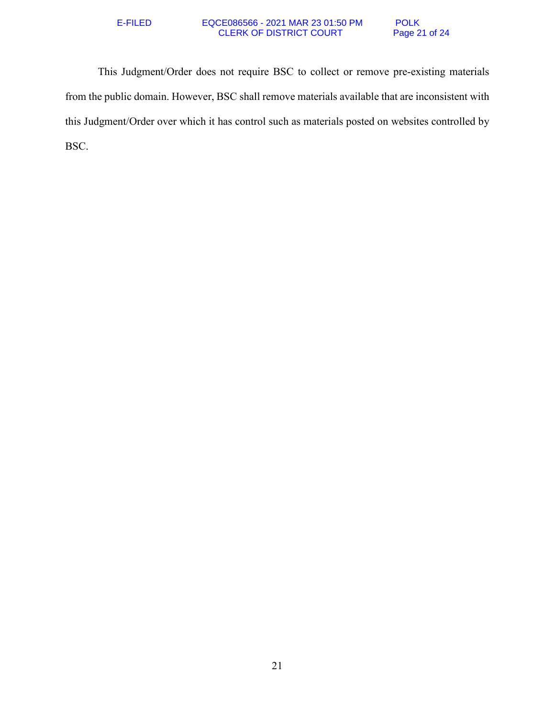## E-FILED EQCE086566 - 2021 MAR 23 01:50 PM POLK CLERK OF DISTRICT COURT Page 21 of 24

This Judgment/Order does not require BSC to collect or remove pre-existing materials from the public domain. However, BSC shall remove materials available that are inconsistent with this Judgment/Order over which it has control such as materials posted on websites controlled by BSC.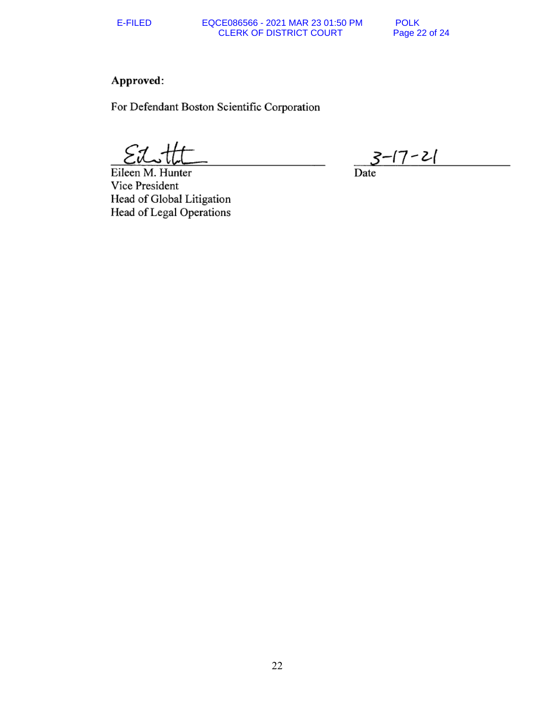## E-FILED EQCE086566 - 2021 MAR 23 01:50 PM POLK CLERK OF DISTRICT COURT Page 22 of 24

# Approved:

For Defendant Boston Scientific Corporation

Eileen M. Hunter Vice President Head of Global Litigation Head of Legal Operations

<u> -17 - 21</u>

Date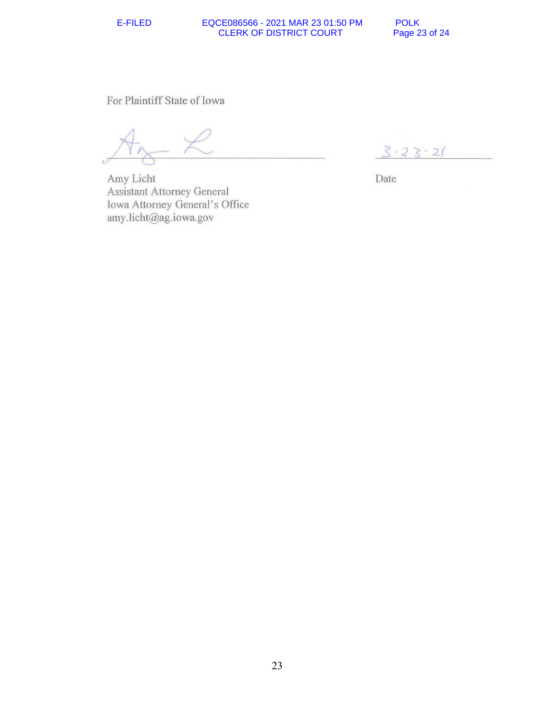## E-FILED EQCE086566 - 2021 MAR 23 01:50 PM POLK CLERK OF DISTRICT COURT Page 23 of 24

For Plaintiff State of Iowa

Amy Licht Assistant Attorney General Iowa Attorney General's Office amy.licht@ag.iowa.gov

 $3.23 - 21$ 

Date